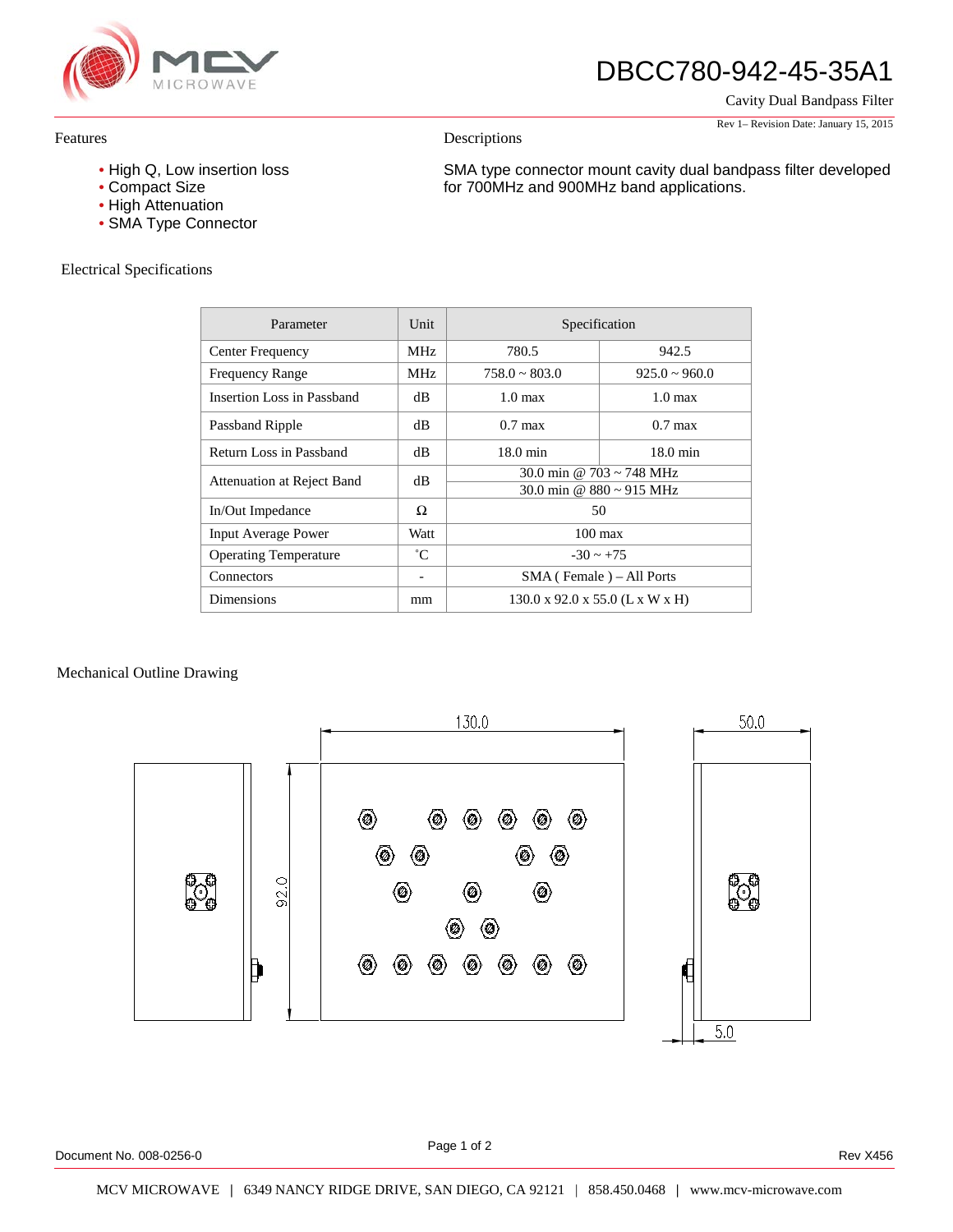

# DBCC780-942-45-35A1

SMA type connector mount cavity dual bandpass filter developed

for 700MHz and 900MHz band applications.

Cavity Dual Bandpass Filter

Rev 1– Revision Date: January 15, 2015

#### Features

- High Q, Low insertion loss
- Compact Size
- High Attenuation
- SMA Type Connector

## Electrical Specifications

| Parameter                    | Unit        | Specification                               |                    |
|------------------------------|-------------|---------------------------------------------|--------------------|
| Center Frequency             | MHz.        | 780.5                                       | 942.5              |
| <b>Frequency Range</b>       | <b>MHz</b>  | $758.0 \sim 803.0$                          | $925.0 \sim 960.0$ |
| Insertion Loss in Passband   | dВ          | $1.0 \text{ max}$                           | $1.0 \text{ max}$  |
| Passband Ripple              | dВ          | $0.7 \text{ max}$                           | $0.7$ max          |
| Return Loss in Passband      | dВ          | $18.0 \text{ min}$                          | $18.0 \text{ min}$ |
| Attenuation at Reject Band   | dВ          | 30.0 min @ 703 ~ 748 MHz                    |                    |
|                              |             | 30.0 min @ $880 \sim 915$ MHz               |                    |
| In/Out Impedance             | Ω           | 50                                          |                    |
| <b>Input Average Power</b>   | Watt        | $100 \text{ max}$                           |                    |
| <b>Operating Temperature</b> | $^{\circ}C$ | $-30 \sim +75$                              |                    |
| Connectors                   |             | SMA (Female) – All Ports                    |                    |
| <b>Dimensions</b>            | mm          | $130.0 \times 92.0 \times 55.0$ (L x W x H) |                    |

Descriptions

## Mechanical Outline Drawing